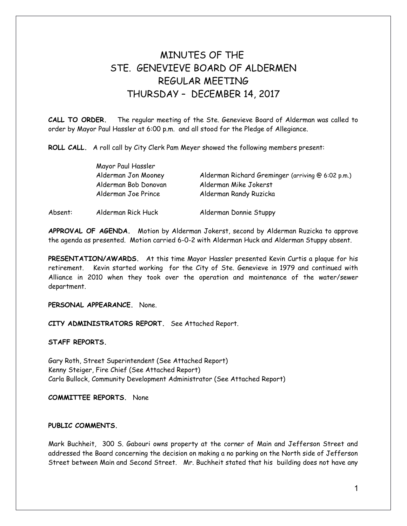## MINUTES OF THE STE GENEVIEVE BOARD OF ALDERMEN REGULAR MEETING THURSDAY – DECEMBER 14, 2017

**CALL TO ORDER.** The regular meeting of the Ste. Genevieve Board of Alderman was called to order by Mayor Paul Hassler at 6:00 p.m. and all stood for the Pledge of Allegiance.

**ROLL CALL.** A roll call by City Clerk Pam Meyer showed the following members present:

|         | Mayor Paul Hassler   |                                                   |
|---------|----------------------|---------------------------------------------------|
|         | Alderman Jon Mooney  | Alderman Richard Greminger (arriving @ 6:02 p.m.) |
|         | Alderman Bob Donovan | Alderman Mike Jokerst                             |
|         | Alderman Joe Prince  | Alderman Randy Ruzicka                            |
| Absent: | Alderman Rick Huck   | Alderman Donnie Stuppy                            |

**APPROVAL OF AGENDA.** Motion by Alderman Jokerst, second by Alderman Ruzicka to approve the agenda as presented. Motion carried 6-0-2 with Alderman Huck and Alderman Stuppy absent.

**PRESENTATION/AWARDS.** At this time Mayor Hassler presented Kevin Curtis a plaque for his retirement. Kevin started working for the City of Ste. Genevieve in 1979 and continued with Alliance in 2010 when they took over the operation and maintenance of the water/sewer department.

**PERSONAL APPEARANCE.** None.

**CITY ADMINISTRATORS REPORT.** See Attached Report.

**STAFF REPORTS.** 

Gary Roth, Street Superintendent (See Attached Report) Kenny Steiger, Fire Chief (See Attached Report) Carla Bullock, Community Development Administrator (See Attached Report)

**COMMITTEE REPORTS.** None

## **PUBLIC COMMENTS.**

Mark Buchheit, 300 S. Gabouri owns property at the corner of Main and Jefferson Street and addressed the Board concerning the decision on making a no parking on the North side of Jefferson Street between Main and Second Street. Mr. Buchheit stated that his building does not have any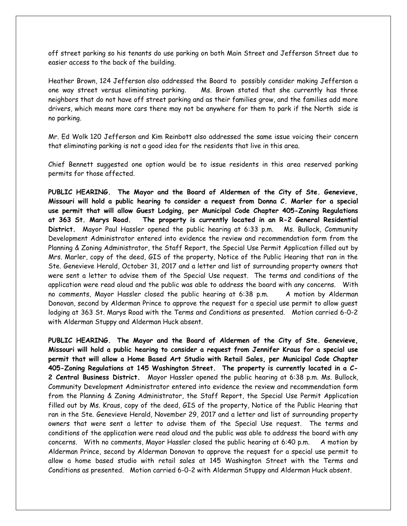off street parking so his tenants do use parking on both Main Street and Jefferson Street due to easier access to the back of the building.

Heather Brown, 124 Jefferson also addressed the Board to possibly consider making Jefferson a one way street versus eliminating parking. Ms. Brown stated that she currently has three neighbors that do not have off street parking and as their families grow, and the families add more drivers, which means more cars there may not be anywhere for them to park if the North side is no parking.

Mr. Ed Wolk 120 Jefferson and Kim Reinbott also addressed the same issue voicing their concern that eliminating parking is not a good idea for the residents that live in this area.

Chief Bennett suggested one option would be to issue residents in this area reserved parking permits for those affected.

**PUBLIC HEARING. The Mayor and the Board of Aldermen of the City of Ste. Genevieve, Missouri will hold a public hearing to consider a request from Donna C. Marler for a special use permit that will allow Guest Lodging, per Municipal Code Chapter 405-Zoning Regulations at 363 St. Marys Road. The property is currently located in an R-2 General Residential District.** Mayor Paul Hassler opened the public hearing at 6:33 p.m. Ms. Bullock, Community Development Administrator entered into evidence the review and recommendation form from the Planning & Zoning Administrator, the Staff Report, the Special Use Permit Application filled out by Mrs. Marler, copy of the deed, GIS of the property, Notice of the Public Hearing that ran in the Ste. Genevieve Herald, October 31, 2017 and a letter and list of surrounding property owners that were sent a letter to advise them of the Special Use request. The terms and conditions of the application were read aloud and the public was able to address the board with any concerns. With no comments, Mayor Hassler closed the public hearing at 6:38 p.m. A motion by Alderman Donovan, second by Alderman Prince to approve the request for a special use permit to allow guest lodging at 363 St. Marys Road with the Terms and Conditions as presented. Motion carried 6-0-2 with Alderman Stuppy and Alderman Huck absent.

**PUBLIC HEARING. The Mayor and the Board of Aldermen of the City of Ste. Genevieve, Missouri will hold a public hearing to consider a request from Jennifer Kraus for a special use permit that will allow a Home Based Art Studio with Retail Sales, per Municipal Code Chapter 405-Zoning Regulations at 145 Washington Street. The property is currently located in a C-2 Central Business District.** Mayor Hassler opened the public hearing at 6:38 p.m. Ms. Bullock, Community Development Administrator entered into evidence the review and recommendation form from the Planning & Zoning Administrator, the Staff Report, the Special Use Permit Application filled out by Ms. Kraus, copy of the deed, GIS of the property, Notice of the Public Hearing that ran in the Ste. Genevieve Herald, November 29, 2017 and a letter and list of surrounding property owners that were sent a letter to advise them of the Special Use request. The terms and conditions of the application were read aloud and the public was able to address the board with any concerns. With no comments, Mayor Hassler closed the public hearing at 6:40 p.m. A motion by Alderman Prince, second by Alderman Donovan to approve the request for a special use permit to allow a home based studio with retail sales at 145 Washington Street with the Terms and Conditions as presented. Motion carried 6-0-2 with Alderman Stuppy and Alderman Huck absent.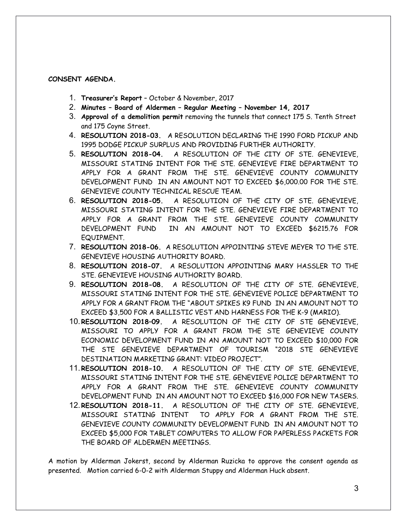## **CONSENT AGENDA.**

- 1. **Treasurer's Report** October & November, 2017
- 2. **Minutes Board of Aldermen Regular Meeting November 14, 2017**
- 3. **Approval of a demolition permit** removing the tunnels that connect 175 S. Tenth Street and 175 Coyne Street.
- 4. **RESOLUTION 2018-03.** A RESOLUTION DECLARING THE 1990 FORD PICKUP AND 1995 DODGE PICKUP SURPLUS AND PROVIDING FURTHER AUTHORITY.
- 5. **RESOLUTION 2018-04.** A RESOLUTION OF THE CITY OF STE. GENEVIEVE, MISSOURI STATING INTENT FOR THE STE. GENEVIEVE FIRE DEPARTMENT TO APPLY FOR A GRANT FROM THE STE. GENEVIEVE COUNTY COMMUNITY DEVELOPMENT FUND IN AN AMOUNT NOT TO EXCEED \$6,000.00 FOR THE STE. GENEVIEVE COUNTY TECHNICAL RESCUE TEAM.
- 6. **RESOLUTION 2018-05.** A RESOLUTION OF THE CITY OF STE. GENEVIEVE, MISSOURI STATING INTENT FOR THE STE. GENEVIEVE FIRE DEPARTMENT TO APPLY FOR A GRANT FROM THE STE. GENEVIEVE COUNTY COMMUNITY DEVELOPMENT FUND IN AN AMOUNT NOT TO EXCEED \$6215.76 FOR EQUIPMENT.
- 7. **RESOLUTION 2018-06.** A RESOLUTION APPOINTING STEVE MEYER TO THE STE. GENEVIEVE HOUSING AUTHORITY BOARD.
- 8. **RESOLUTION 2018-07.** A RESOLUTION APPOINTING MARY HASSLER TO THE STE. GENEVIEVE HOUSING AUTHORITY BOARD.
- 9. **RESOLUTION 2018-08.** A RESOLUTION OF THE CITY OF STE. GENEVIEVE, MISSOURI STATING INTENT FOR THE STE. GENEVIEVE POLICE DEPARTMENT TO APPLY FOR A GRANT FROM THE "ABOUT SPIKES K9 FUND IN AN AMOUNT NOT TO EXCEED \$3,500 FOR A BALLISTIC VEST AND HARNESS FOR THE K-9 (MARIO).
- 10.**RESOLUTION 2018–09.** A RESOLUTION OF THE CITY OF STE GENEVIEVE, MISSOURI TO APPLY FOR A GRANT FROM THE STE GENEVIEVE COUNTY ECONOMIC DEVELOPMENT FUND IN AN AMOUNT NOT TO EXCEED \$10,000 FOR THE STE GENEVIEVE DEPARTMENT OF TOURISM "2018 STE GENEVIEVE DESTINATION MARKETING GRANT: VIDEO PROJECT".
- 11.**RESOLUTION 2018-10.** A RESOLUTION OF THE CITY OF STE. GENEVIEVE, MISSOURI STATING INTENT FOR THE STE. GENEVIEVE POLICE DEPARTMENT TO APPLY FOR A GRANT FROM THE STE. GENEVIEVE COUNTY COMMUNITY DEVELOPMENT FUND IN AN AMOUNT NOT TO EXCEED \$16,000 FOR NEW TASERS.
- 12.**RESOLUTION 2018-11.** A RESOLUTION OF THE CITY OF STE. GENEVIEVE, MISSOURI STATING INTENT TO APPLY FOR A GRANT FROM THE STE. GENEVIEVE COUNTY COMMUNITY DEVELOPMENT FUND IN AN AMOUNT NOT TO EXCEED \$5,000 FOR TABLET COMPUTERS TO ALLOW FOR PAPERLESS PACKETS FOR THE BOARD OF ALDERMEN MEETINGS.

A motion by Alderman Jokerst, second by Alderman Ruzicka to approve the consent agenda as presented. Motion carried 6-0-2 with Alderman Stuppy and Alderman Huck absent.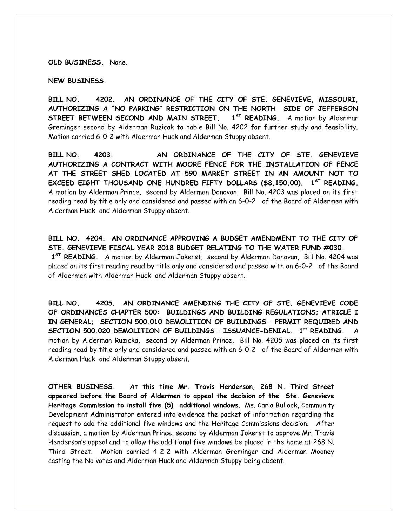**OLD BUSINESS.** None.

**NEW BUSINESS.**

**BILL NO. 4202. AN ORDINANCE OF THE CITY OF STE. GENEVIEVE, MISSOURI, AUTHORIZING A "NO PARKING" RESTRICTION ON THE NORTH SIDE OF JEFFERSON STREET BETWEEN SECOND AND MAIN STREET. 1ST READING.** A motion by Alderman Greminger second by Alderman Ruzicak to table Bill No. 4202 for further study and feasibility. Motion carried 6-0-2 with Alderman Huck and Alderman Stuppy absent.

**BILL NO. 4203. AN ORDINANCE OF THE CITY OF STE. GENEVIEVE AUTHORIZING A CONTRACT WITH MOORE FENCE FOR THE INSTALLATION OF FENCE AT THE STREET SHED LOCATED AT 590 MARKET STREET IN AN AMOUNT NOT TO EXCEED EIGHT THOUSAND ONE HUNDRED FIFTY DOLLARS (\$8,150.00). 1ST READING.** A motion by Alderman Prince, second by Alderman Donovan, Bill No. 4203 was placed on its first reading read by title only and considered and passed with an 6-0-2 of the Board of Aldermen with Alderman Huck and Alderman Stuppy absent.

**BILL NO. 4204. AN ORDINANCE APPROVING A BUDGET AMENDMENT TO THE CITY OF STE. GENEVIEVE FISCAL YEAR 2018 BUDGET RELATING TO THE WATER FUND #030.** 

 **1ST READING.** A motion by Alderman Jokerst, second by Alderman Donovan, Bill No. 4204 was placed on its first reading read by title only and considered and passed with an 6-0-2 of the Board of Aldermen with Alderman Huck and Alderman Stuppy absent.

**BILL NO. 4205. AN ORDINANCE AMENDING THE CITY OF STE. GENEVIEVE CODE OF ORDINANCES CHAPTER 500: BUILDINGS AND BUILDING REGULATIONS; ATRICLE I IN GENERAL; SECTION 500.010 DEMOLITION OF BUILDINGS – PERMIT REQUIRED AND SECTION 500.020 DEMOLITION OF BUILDINGS – ISSUANCE-DENIAL. 1st READING.** A motion by Alderman Ruzicka, second by Alderman Prince, Bill No. 4205 was placed on its first reading read by title only and considered and passed with an 6-0-2 of the Board of Aldermen with Alderman Huck and Alderman Stuppy absent.

**OTHER BUSINESS. At this time Mr. Travis Henderson, 268 N. Third Street appeared before the Board of Aldermen to appeal the decision of the Ste. Genevieve Heritage Commission to install five (5) additional windows.** Ms. Carla Bullock, Community Development Administrator entered into evidence the packet of information regarding the request to add the additional five windows and the Heritage Commissions decision. After discussion, a motion by Alderman Prince, second by Alderman Jokerst to approve Mr. Travis Henderson's appeal and to allow the additional five windows be placed in the home at 268 N. Third Street. Motion carried 4-2-2 with Alderman Greminger and Alderman Mooney casting the No votes and Alderman Huck and Alderman Stuppy being absent.